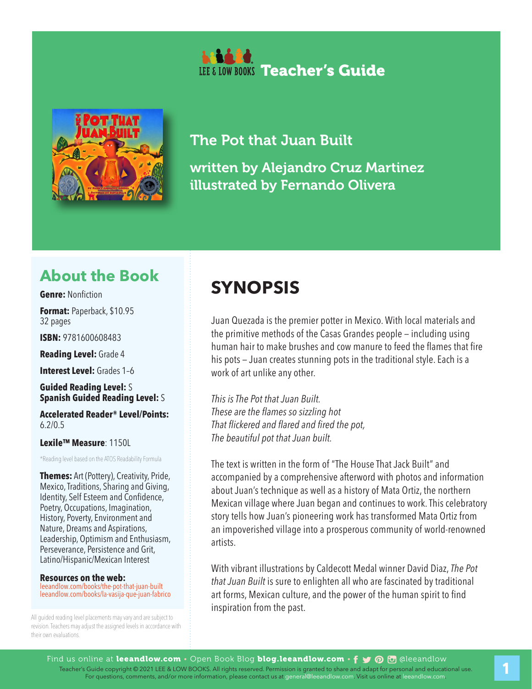



## The Pot that Juan Built written by Alejandro Cruz Martinez illustrated by Fernando Olivera

## **About the Book**

**Genre:** Nonfiction

**Format:** Paperback, \$10.95 32 pages

**ISBN:** 9781600608483

**Reading Level:** Grade 4

**Interest Level:** Grades 1–6

**Guided Reading Level:** S **Spanish Guided Reading Level:** S

**Accelerated Reader® Level/Points:**  6.2/0.5

#### **Lexile™ Measure**: 1150L

\*Reading level based on the ATOS Readability Formula

**Themes:** Art (Pottery), Creativity, Pride, Mexico, Traditions, Sharing and Giving, Identity, Self Esteem and Confidence, Poetry, Occupations, Imagination, History, Poverty, Environment and Nature, Dreams and Aspirations, Leadership, Optimism and Enthusiasm, Perseverance, Persistence and Grit, Latino/Hispanic/Mexican Interest

#### **Resources on the web:**

leeandlow.com/books/the-pot-that-juan-built leeandlow.com/books/la-vasija-que-juan-fabrico

All guided reading level placements may vary and are subject to revision. Teachers may adjust the assigned levels in accordance with their own evaluations.

## **SYNOPSIS**

Juan Quezada is the premier potter in Mexico. With local materials and the primitive methods of the Casas Grandes people — including using human hair to make brushes and cow manure to feed the flames that fire his pots — Juan creates stunning pots in the traditional style. Each is a work of art unlike any other.

*This is The Pot that Juan Built. These are the flames so sizzling hot That flickered and flared and fired the pot, The beautiful pot that Juan built.*

The text is written in the form of "The House That Jack Built" and accompanied by a comprehensive afterword with photos and information about Juan's technique as well as a history of Mata Ortiz, the northern Mexican village where Juan began and continues to work. This celebratory story tells how Juan's pioneering work has transformed Mata Ortiz from an impoverished village into a prosperous community of world-renowned artists.

With vibrant illustrations by Caldecott Medal winner David Diaz, *The Pot that Juan Built* is sure to enlighten all who are fascinated by traditional art forms, Mexican culture, and the power of the human spirit to find inspiration from the past.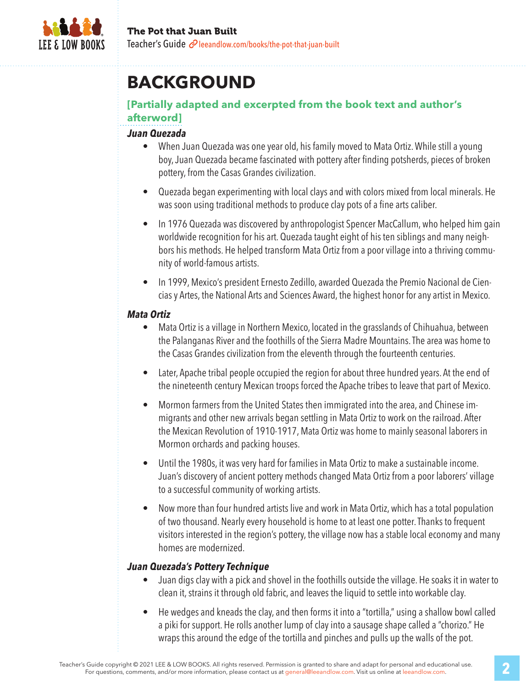

## **BACKGROUND**

### **[Partially adapted and excerpted from the book text and author's afterword]**

#### *Juan Quezada*

- When Juan Quezada was one year old, his family moved to Mata Ortiz. While still a young boy, Juan Quezada became fascinated with pottery after finding potsherds, pieces of broken pottery, from the Casas Grandes civilization.
- Quezada began experimenting with local clays and with colors mixed from local minerals. He was soon using traditional methods to produce clay pots of a fine arts caliber.
- In 1976 Quezada was discovered by anthropologist Spencer MacCallum, who helped him gain worldwide recognition for his art. Quezada taught eight of his ten siblings and many neighbors his methods. He helped transform Mata Ortiz from a poor village into a thriving community of world-famous artists.
- In 1999, Mexico's president Ernesto Zedillo, awarded Quezada the Premio Nacional de Ciencias y Artes, the National Arts and Sciences Award, the highest honor for any artist in Mexico.

#### *Mata Ortiz*

- Mata Ortiz is a village in Northern Mexico, located in the grasslands of Chihuahua, between the Palanganas River and the foothills of the Sierra Madre Mountains. The area was home to the Casas Grandes civilization from the eleventh through the fourteenth centuries.
- Later, Apache tribal people occupied the region for about three hundred years. At the end of the nineteenth century Mexican troops forced the Apache tribes to leave that part of Mexico.
- Mormon farmers from the United States then immigrated into the area, and Chinese immigrants and other new arrivals began settling in Mata Ortiz to work on the railroad. After the Mexican Revolution of 1910-1917, Mata Ortiz was home to mainly seasonal laborers in Mormon orchards and packing houses.
- Until the 1980s, it was very hard for families in Mata Ortiz to make a sustainable income. Juan's discovery of ancient pottery methods changed Mata Ortiz from a poor laborers' village to a successful community of working artists.
- Now more than four hundred artists live and work in Mata Ortiz, which has a total population of two thousand. Nearly every household is home to at least one potter. Thanks to frequent visitors interested in the region's pottery, the village now has a stable local economy and many homes are modernized.

#### *Juan Quezada's Pottery Technique*

- Juan digs clay with a pick and shovel in the foothills outside the village. He soaks it in water to clean it, strains it through old fabric, and leaves the liquid to settle into workable clay.
- He wedges and kneads the clay, and then forms it into a "tortilla," using a shallow bowl called a piki for support. He rolls another lump of clay into a sausage shape called a "chorizo." He wraps this around the edge of the tortilla and pinches and pulls up the walls of the pot.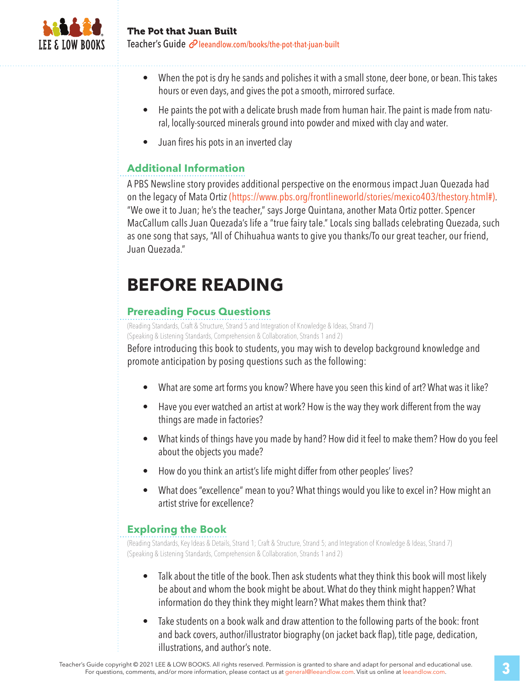

- When the pot is dry he sands and polishes it with a small stone, deer bone, or bean. This takes hours or even days, and gives the pot a smooth, mirrored surface.
- He paints the pot with a delicate brush made from human hair. The paint is made from natural, locally-sourced minerals ground into powder and mixed with clay and water.
- Juan fires his pots in an inverted clay

### **Additional Information**

A PBS Newsline story provides additional perspective on the enormous impact Juan Quezada had on the legacy of Mata Ortiz (https://www.pbs.org/frontlineworld/stories/mexico403/thestory.html#). "We owe it to Juan; he's the teacher," says Jorge Quintana, another Mata Ortiz potter. Spencer MacCallum calls Juan Quezada's life a "true fairy tale." Locals sing ballads celebrating Quezada, such as one song that says, "All of Chihuahua wants to give you thanks/To our great teacher, our friend, Juan Quezada."

## **BEFORE READING**

### **Prereading Focus Questions**

(Reading Standards, Craft & Structure, Strand 5 and Integration of Knowledge & Ideas, Strand 7) (Speaking & Listening Standards, Comprehension & Collaboration, Strands 1 and 2)

Before introducing this book to students, you may wish to develop background knowledge and promote anticipation by posing questions such as the following:

- What are some art forms you know? Where have you seen this kind of art? What was it like?
- Have you ever watched an artist at work? How is the way they work different from the way things are made in factories?
- What kinds of things have you made by hand? How did it feel to make them? How do you feel about the objects you made?
- How do you think an artist's life might differ from other peoples' lives?
- What does "excellence" mean to you? What things would you like to excel in? How might an artist strive for excellence?

### **Exploring the Book**

(Reading Standards, Key Ideas & Details, Strand 1; Craft & Structure, Strand 5; and Integration of Knowledge & Ideas, Strand 7) (Speaking & Listening Standards, Comprehension & Collaboration, Strands 1 and 2)

- Talk about the title of the book. Then ask students what they think this book will most likely be about and whom the book might be about. What do they think might happen? What information do they think they might learn? What makes them think that?
- Take students on a book walk and draw attention to the following parts of the book: front and back covers, author/illustrator biography (on jacket back flap), title page, dedication, illustrations, and author's note.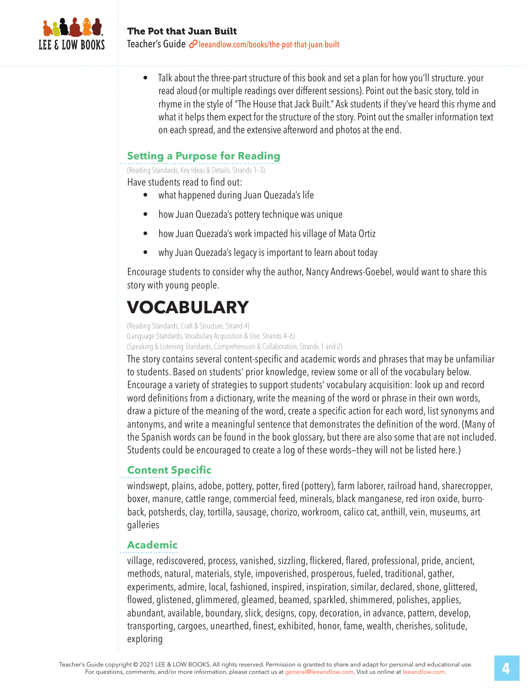

• Talk about the three-part structure of this book and set a plan for how you'll structure. your read aloud (or multiple readings over different sessions). Point out the basic story, told in rhyme in the style of "The House that Jack Built." Ask students if they've heard this rhyme and what it helps them expect for the structure of the story. Point out the smaller information text on each spread, and the extensive afterword and photos at the end.

### **Setting a Purpose for Reading**

(Reading Standards, Key Ideas & Details, Strands 1–3)

Have students read to find out:

- what happened during Juan Quezada's life
- how Juan Quezada's pottery technique was unique
- how Juan Quezada's work impacted his village of Mata Ortiz
- why Juan Quezada's legacy is important to learn about today

Encourage students to consider why the author, Nancy Andrews-Goebel, would want to share this story with young people.

# **VOCABULARY**

(Reading Standards, Craft & Structure, Strand 4) (Language Standards, Vocabulary Acquisition & Use, Strands 4–6)

(Speaking & Listening Standards, Comprehension & Collaboration, Strands 1 and 2)

The story contains several content-specific and academic words and phrases that may be unfamiliar to students. Based on students' prior knowledge, review some or all of the vocabulary below. Encourage a variety of strategies to support students' vocabulary acquisition: look up and record word definitions from a dictionary, write the meaning of the word or phrase in their own words, draw a picture of the meaning of the word, create a specific action for each word, list synonyms and antonyms, and write a meaningful sentence that demonstrates the definition of the word. (Many of the Spanish words can be found in the book glossary, but there are also some that are not included. Students could be encouraged to create a log of these words—they will not be listed here.)

### **Content Specific**

windswept, plains, adobe, pottery, potter, fired (pottery), farm laborer, railroad hand, sharecropper, boxer, manure, cattle range, commercial feed, minerals, black manganese, red iron oxide, burroback, potsherds, clay, tortilla, sausage, chorizo, workroom, calico cat, anthill, vein, museums, art galleries

### **Academic**

village, rediscovered, process, vanished, sizzling, flickered, flared, professional, pride, ancient, methods, natural, materials, style, impoverished, prosperous, fueled, traditional, gather, experiments, admire, local, fashioned, inspired, inspiration, similar, declared, shone, glittered, flowed, glistened, glimmered, gleamed, beamed, sparkled, shimmered, polishes, applies, abundant, available, boundary, slick, designs, copy, decoration, in advance, pattern, develop, transporting, cargoes, unearthed, finest, exhibited, honor, fame, wealth, cherishes, solitude, exploring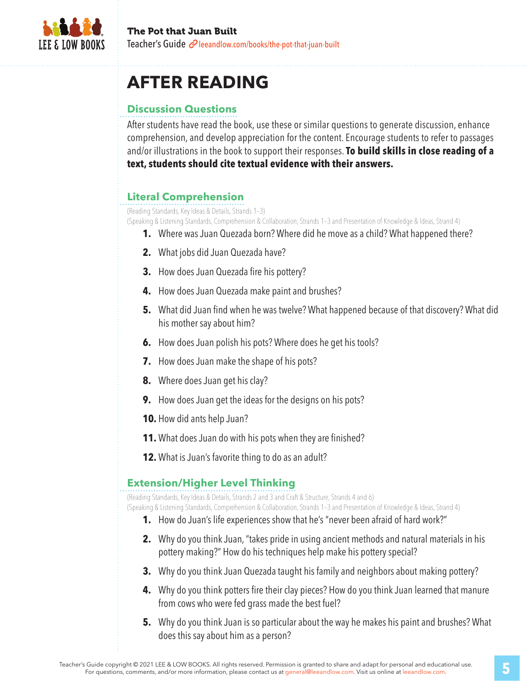

## **AFTER READING**

### **Discussion Questions**

After students have read the book, use these or similar questions to generate discussion, enhance comprehension, and develop appreciation for the content. Encourage students to refer to passages and/or illustrations in the book to support their responses. **To build skills in close reading of a text, students should cite textual evidence with their answers.**

## **Literal Comprehension**

(Reading Standards, Key Ideas & Details, Strands 1–3)

(Speaking & Listening Standards, Comprehension & Collaboration, Strands 1–3 and Presentation of Knowledge & Ideas, Strand 4)

- **1.** Where was Juan Quezada born? Where did he move as a child? What happened there?
- **2.** What jobs did Juan Quezada have?
- **3.** How does Juan Quezada fire his pottery?
- **4.** How does Juan Quezada make paint and brushes?
- **5.** What did Juan find when he was twelve? What happened because of that discovery? What did his mother say about him?
- **6.** How does Juan polish his pots? Where does he get his tools?
- **7.** How does Juan make the shape of his pots?
- **8.** Where does Juan get his clay?
- **9.** How does Juan get the ideas for the designs on his pots?
- **10.** How did ants help Juan?
- **11.** What does Juan do with his pots when they are finished?
- **12.** What is Juan's favorite thing to do as an adult?

### **Extension/Higher Level Thinking**

(Reading Standards, Key Ideas & Details, Strands 2 and 3 and Craft & Structure, Strands 4 and 6)

(Speaking & Listening Standards, Comprehension & Collaboration, Strands 1–3 and Presentation of Knowledge & Ideas, Strand 4)

- **1.** How do Juan's life experiences show that he's "never been afraid of hard work?"
- **2.** Why do you think Juan, "takes pride in using ancient methods and natural materials in his pottery making?" How do his techniques help make his pottery special?
- **3.** Why do you think Juan Quezada taught his family and neighbors about making pottery?
- **4.** Why do you think potters fire their clay pieces? How do you think Juan learned that manure from cows who were fed grass made the best fuel?
- **5.** Why do you think Juan is so particular about the way he makes his paint and brushes? What does this say about him as a person?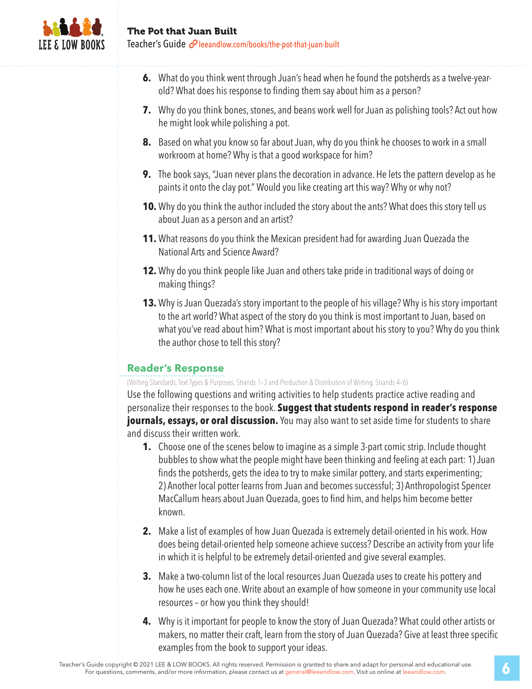

- **6.** What do you think went through Juan's head when he found the potsherds as a twelve-yearold? What does his response to finding them say about him as a person?
- **7.** Why do you think bones, stones, and beans work well for Juan as polishing tools? Act out how he might look while polishing a pot.
- **8.** Based on what you know so far about Juan, why do you think he chooses to work in a small workroom at home? Why is that a good workspace for him?
- **9.** The book says, "Juan never plans the decoration in advance. He lets the pattern develop as he paints it onto the clay pot." Would you like creating art this way? Why or why not?
- **10.** Why do you think the author included the story about the ants? What does this story tell us about Juan as a person and an artist?
- **11.** What reasons do you think the Mexican president had for awarding Juan Quezada the National Arts and Science Award?
- **12.** Why do you think people like Juan and others take pride in traditional ways of doing or making things?
- **13.** Why is Juan Quezada's story important to the people of his village? Why is his story important to the art world? What aspect of the story do you think is most important to Juan, based on what you've read about him? What is most important about his story to you? Why do you think the author chose to tell this story?

### **Reader's Response**

(Writing Standards, Text Types & Purposes, Strands 1–3 and Production & Distribution of Writing, Strands 4–6)

Use the following questions and writing activities to help students practice active reading and personalize their responses to the book. **Suggest that students respond in reader's response journals, essays, or oral discussion.** You may also want to set aside time for students to share and discuss their written work.

- **1.** Choose one of the scenes below to imagine as a simple 3-part comic strip. Include thought bubbles to show what the people might have been thinking and feeling at each part: 1) Juan finds the potsherds, gets the idea to try to make similar pottery, and starts experimenting; 2) Another local potter learns from Juan and becomes successful; 3) Anthropologist Spencer MacCallum hears about Juan Quezada, goes to find him, and helps him become better known.
- **2.** Make a list of examples of how Juan Quezada is extremely detail-oriented in his work. How does being detail-oriented help someone achieve success? Describe an activity from your life in which it is helpful to be extremely detail-oriented and give several examples.
- **3.** Make a two-column list of the local resources Juan Quezada uses to create his pottery and how he uses each one. Write about an example of how someone in your community use local resources – or how you think they should!
- **4.** Why is it important for people to know the story of Juan Quezada? What could other artists or makers, no matter their craft, learn from the story of Juan Quezada? Give at least three specific examples from the book to support your ideas.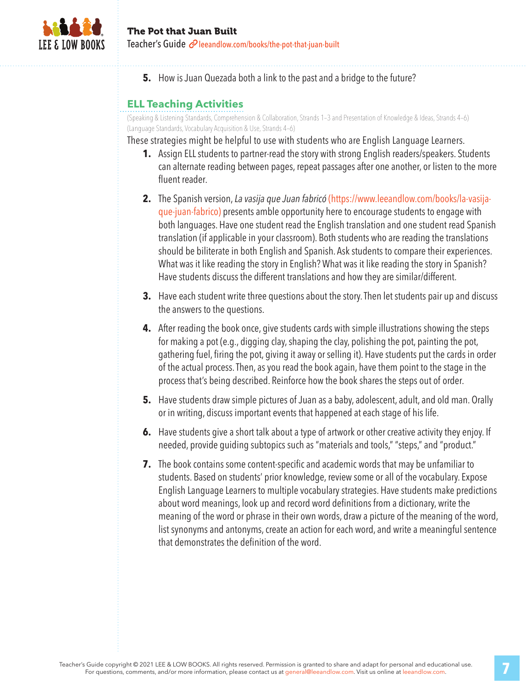

**5.** How is Juan Quezada both a link to the past and a bridge to the future?

### **ELL Teaching Activities**

(Speaking & Listening Standards, Comprehension & Collaboration, Strands 1–3 and Presentation of Knowledge & Ideas, Strands 4–6) (Language Standards, Vocabulary Acquisition & Use, Strands 4–6)

These strategies might be helpful to use with students who are English Language Learners.

- **1.** Assign ELL students to partner-read the story with strong English readers/speakers. Students can alternate reading between pages, repeat passages after one another, or listen to the more fluent reader.
- **2.** The Spanish version, *La vasija que Juan fabricó* (https://www.leeandlow.com/books/la-vasijaque-juan-fabrico) presents amble opportunity here to encourage students to engage with both languages. Have one student read the English translation and one student read Spanish translation (if applicable in your classroom). Both students who are reading the translations should be biliterate in both English and Spanish. Ask students to compare their experiences. What was it like reading the story in English? What was it like reading the story in Spanish? Have students discuss the different translations and how they are similar/different.
- **3.** Have each student write three questions about the story. Then let students pair up and discuss the answers to the questions.
- **4.** After reading the book once, give students cards with simple illustrations showing the steps for making a pot (e.g., digging clay, shaping the clay, polishing the pot, painting the pot, gathering fuel, firing the pot, giving it away or selling it). Have students put the cards in order of the actual process. Then, as you read the book again, have them point to the stage in the process that's being described. Reinforce how the book shares the steps out of order.
- **5.** Have students draw simple pictures of Juan as a baby, adolescent, adult, and old man. Orally or in writing, discuss important events that happened at each stage of his life.
- **6.** Have students give a short talk about a type of artwork or other creative activity they enjoy. If needed, provide guiding subtopics such as "materials and tools," "steps," and "product."
- **7.** The book contains some content-specific and academic words that may be unfamiliar to students. Based on students' prior knowledge, review some or all of the vocabulary. Expose English Language Learners to multiple vocabulary strategies. Have students make predictions about word meanings, look up and record word definitions from a dictionary, write the meaning of the word or phrase in their own words, draw a picture of the meaning of the word, list synonyms and antonyms, create an action for each word, and write a meaningful sentence that demonstrates the definition of the word.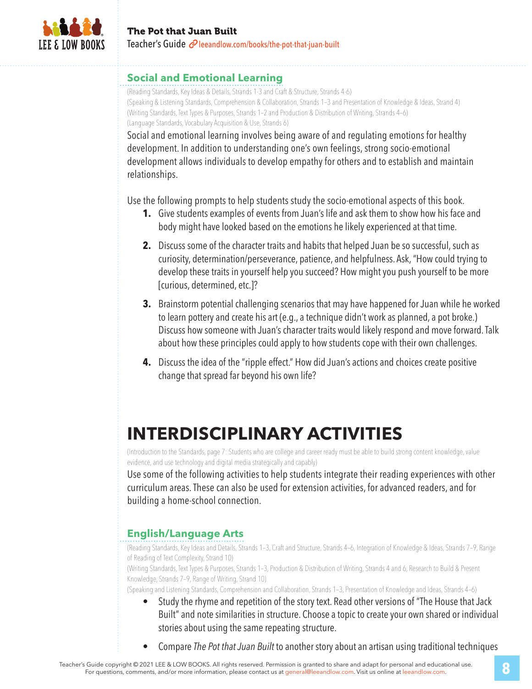

#### **Social and Emotional Learning**

(Reading Standards, Key Ideas & Details, Strands 1-3 and Craft & Structure, Strands 4-6) (Speaking & Listening Standards, Comprehension & Collaboration, Strands 1–3 and Presentation of Knowledge & Ideas, Strand 4) (Writing Standards, Text Types & Purposes, Strands 1–2 and Production & Distribution of Writing, Strands 4–6) (Language Standards, Vocabulary Acquisition & Use, Strands 6)

Social and emotional learning involves being aware of and regulating emotions for healthy development. In addition to understanding one's own feelings, strong socio-emotional development allows individuals to develop empathy for others and to establish and maintain relationships.

Use the following prompts to help students study the socio-emotional aspects of this book.

- **1.** Give students examples of events from Juan's life and ask them to show how his face and body might have looked based on the emotions he likely experienced at that time.
- **2.** Discuss some of the character traits and habits that helped Juan be so successful, such as curiosity, determination/perseverance, patience, and helpfulness. Ask, "How could trying to develop these traits in yourself help you succeed? How might you push yourself to be more [curious, determined, etc.]?
- **3.** Brainstorm potential challenging scenarios that may have happened for Juan while he worked to learn pottery and create his art (e.g., a technique didn't work as planned, a pot broke.) Discuss how someone with Juan's character traits would likely respond and move forward. Talk about how these principles could apply to how students cope with their own challenges.
- **4.** Discuss the idea of the "ripple effect." How did Juan's actions and choices create positive change that spread far beyond his own life?

## **INTERDISCIPLINARY ACTIVITIES**

(Introduction to the Standards, page 7: Students who are college and career ready must be able to build strong content knowledge, value evidence, and use technology and digital media strategically and capably)

Use some of the following activities to help students integrate their reading experiences with other curriculum areas. These can also be used for extension activities, for advanced readers, and for building a home-school connection.

## **English/Language Arts**

(Reading Standards, Key Ideas and Details, Strands 1–3, Craft and Structure, Strands 4–6, Integration of Knowledge & Ideas, Strands 7–9, Range of Reading of Text Complexity, Strand 10)

(Writing Standards, Text Types & Purposes, Strands 1–3, Production & Distribution of Writing, Strands 4 and 6, Research to Build & Present Knowledge, Strands 7–9, Range of Writing, Strand 10)

(Speaking and Listening Standards, Comprehension and Collaboration, Strands 1–3, Presentation of Knowledge and Ideas, Strands 4–6)

- Study the rhyme and repetition of the story text. Read other versions of "The House that Jack Built" and note similarities in structure. Choose a topic to create your own shared or individual stories about using the same repeating structure.
- Compare *The Pot that Juan Built* to another story about an artisan using traditional techniques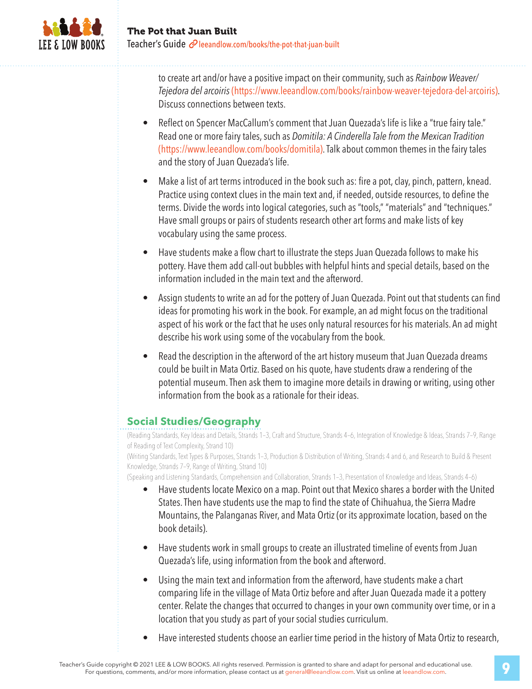

to create art and/or have a positive impact on their community, such as *Rainbow Weaver/ Tejedora del arcoiris* (https://www.leeandlow.com/books/rainbow-weaver-tejedora-del-arcoiris). Discuss connections between texts.

- Reflect on Spencer MacCallum's comment that Juan Quezada's life is like a "true fairy tale." Read one or more fairy tales, such as *Domitila: A Cinderella Tale from the Mexican Tradition*  (https://www.leeandlow.com/books/domitila). Talk about common themes in the fairy tales and the story of Juan Quezada's life.
- Make a list of art terms introduced in the book such as: fire a pot, clay, pinch, pattern, knead. Practice using context clues in the main text and, if needed, outside resources, to define the terms. Divide the words into logical categories, such as "tools," "materials" and "techniques." Have small groups or pairs of students research other art forms and make lists of key vocabulary using the same process.
- Have students make a flow chart to illustrate the steps Juan Quezada follows to make his pottery. Have them add call-out bubbles with helpful hints and special details, based on the information included in the main text and the afterword.
- Assign students to write an ad for the pottery of Juan Quezada. Point out that students can find ideas for promoting his work in the book. For example, an ad might focus on the traditional aspect of his work or the fact that he uses only natural resources for his materials. An ad might describe his work using some of the vocabulary from the book.
- Read the description in the afterword of the art history museum that Juan Quezada dreams could be built in Mata Ortiz. Based on his quote, have students draw a rendering of the potential museum. Then ask them to imagine more details in drawing or writing, using other information from the book as a rationale for their ideas.

### **Social Studies/Geography**

(Reading Standards, Key Ideas and Details, Strands 1–3, Craft and Structure, Strands 4–6, Integration of Knowledge & Ideas, Strands 7–9, Range of Reading of Text Complexity, Strand 10)

(Writing Standards, Text Types & Purposes, Strands 1–3, Production & Distribution of Writing, Strands 4 and 6, and Research to Build & Present Knowledge, Strands 7–9, Range of Writing, Strand 10)

(Speaking and Listening Standards, Comprehension and Collaboration, Strands 1–3, Presentation of Knowledge and Ideas, Strands 4–6)

- Have students locate Mexico on a map. Point out that Mexico shares a border with the United States. Then have students use the map to find the state of Chihuahua, the Sierra Madre Mountains, the Palanganas River, and Mata Ortiz (or its approximate location, based on the book details).
- Have students work in small groups to create an illustrated timeline of events from Juan Quezada's life, using information from the book and afterword.
- Using the main text and information from the afterword, have students make a chart comparing life in the village of Mata Ortiz before and after Juan Quezada made it a pottery center. Relate the changes that occurred to changes in your own community over time, or in a location that you study as part of your social studies curriculum.
- Have interested students choose an earlier time period in the history of Mata Ortiz to research,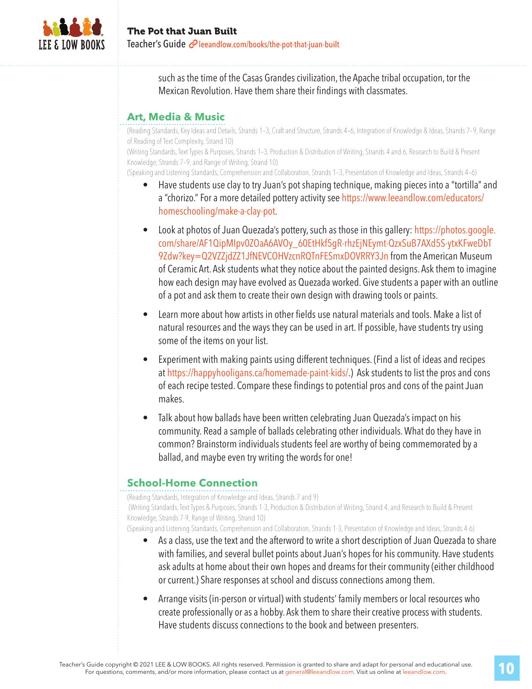

such as the time of the Casas Grandes civilization, the Apache tribal occupation, tor the Mexican Revolution. Have them share their findings with classmates.

### **Art, Media & Music**

(Reading Standards, Key Ideas and Details, Strands 1–3, Craft and Structure, Strands 4–6, Integration of Knowledge & Ideas, Strands 7–9, Range of Reading of Text Complexity, Strand 10)

(Writing Standards, Text Types & Purposes, Strands 1–3, Production & Distribution of Writing, Strands 4 and 6, Research to Build & Present Knowledge, Strands 7–9, and Range of Writing, Strand 10)

(Speaking and Listening Standards, Comprehension and Collaboration, Strands 1–3, Presentation of Knowledge and Ideas, Strands 4–6)

- Have students use clay to try Juan's pot shaping technique, making pieces into a "tortilla" and a "chorizo." For a more detailed pottery activity see https://www.leeandlow.com/educators/ homeschooling/make-a-clay-pot.
- Look at photos of Juan Quezada's pottery, such as those in this gallery: https://photos.google. com/share/AF1QipMIpv0ZOaA6AVOy\_60EtHkf5gR-rhzEjNEymt-QzxSuB7AXd5S-ytxKFweDbT 9Zdw?key=Q2VZZjdZZ1JfNEVCOHVzcnRQTnFESmxDOVRRY3Jn from the American Museum of Ceramic Art. Ask students what they notice about the painted designs. Ask them to imagine how each design may have evolved as Quezada worked. Give students a paper with an outline of a pot and ask them to create their own design with drawing tools or paints.
- Learn more about how artists in other fields use natural materials and tools. Make a list of natural resources and the ways they can be used in art. If possible, have students try using some of the items on your list.
- Experiment with making paints using different techniques. (Find a list of ideas and recipes at https://happyhooligans.ca/homemade-paint-kids/.) Ask students to list the pros and cons of each recipe tested. Compare these findings to potential pros and cons of the paint Juan makes.
- Talk about how ballads have been written celebrating Juan Quezada's impact on his community. Read a sample of ballads celebrating other individuals. What do they have in common? Brainstorm individuals students feel are worthy of being commemorated by a ballad, and maybe even try writing the words for one!

## **School-Home Connection**

(Reading Standards, Integration of Knowledge and Ideas, Strands 7 and 9)

 (Writing Standards, Text Types & Purposes, Strands 1-3, Production & Distribution of Writing, Strand 4, and Research to Build & Present Knowledge, Strands 7-9, Range of Writing, Strand 10)

(Speaking and Listening Standards, Comprehension and Collaboration, Strands 1-3, Presentation of Knowledge and Ideas, Strands 4-6)

- As a class, use the text and the afterword to write a short description of Juan Quezada to share with families, and several bullet points about Juan's hopes for his community. Have students ask adults at home about their own hopes and dreams for their community (either childhood or current.) Share responses at school and discuss connections among them.
- Arrange visits (in-person or virtual) with students' family members or local resources who create professionally or as a hobby. Ask them to share their creative process with students. Have students discuss connections to the book and between presenters.